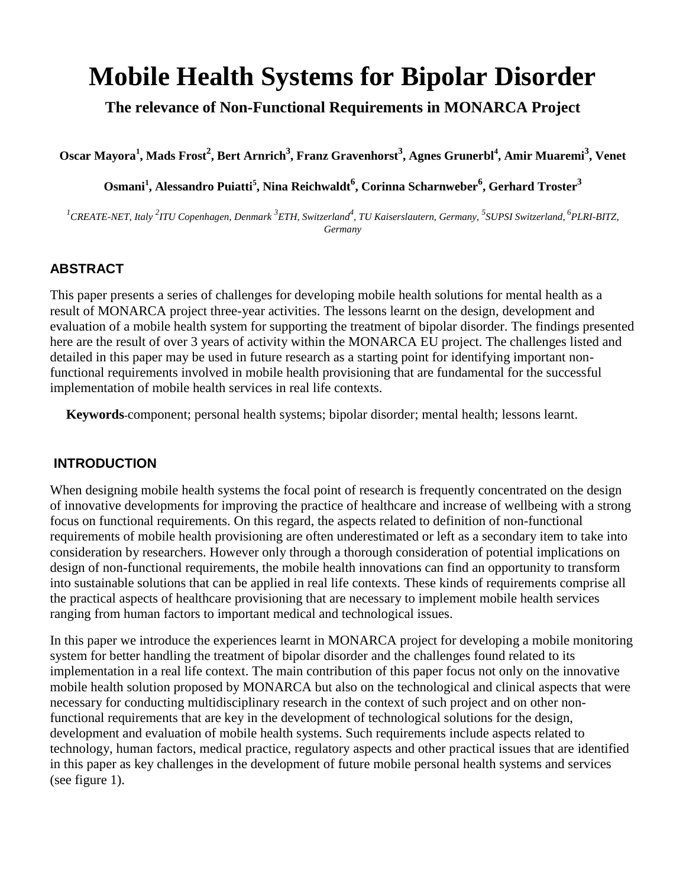# **Mobile Health Systems for Bipolar Disorder**

**The relevance of Non-Functional Requirements in MONARCA Project**

**Oscar Mayora<sup>1</sup> , Mads Frost<sup>2</sup> , Bert Arnrich<sup>3</sup> , Franz Gravenhorst<sup>3</sup> , Agnes Grunerbl<sup>4</sup> , Amir Muaremi<sup>3</sup> , Venet** 

**Osmani<sup>1</sup> , Alessandro Puiatti<sup>5</sup> , Nina Reichwaldt<sup>6</sup> , Corinna Scharnweber<sup>6</sup> , Gerhard Troster<sup>3</sup>**

 ${}^{1}$ CREATE-NET, Italy  ${}^{2}$ ITU Copenhagen, Denmark  ${}^{3}$ ETH, Switzerland<sup>4</sup>, TU Kaiserslautern, Germany,  ${}^{5}$ SUPSI Switzerland,  ${}^{6}$ PLRI-BITZ, *Germany*

# **ABSTRACT**

This paper presents a series of challenges for developing mobile health solutions for mental health as a result of MONARCA project three-year activities. The lessons learnt on the design, development and evaluation of a mobile health system for supporting the treatment of bipolar disorder. The findings presented here are the result of over 3 years of activity within the MONARCA EU project. The challenges listed and detailed in this paper may be used in future research as a starting point for identifying important nonfunctional requirements involved in mobile health provisioning that are fundamental for the successful implementation of mobile health services in real life contexts.

**Keywords***-*component; personal health systems; bipolar disorder; mental health; lessons learnt.

## **INTRODUCTION**

When designing mobile health systems the focal point of research is frequently concentrated on the design of innovative developments for improving the practice of healthcare and increase of wellbeing with a strong focus on functional requirements. On this regard, the aspects related to definition of non-functional requirements of mobile health provisioning are often underestimated or left as a secondary item to take into consideration by researchers. However only through a thorough consideration of potential implications on design of non-functional requirements, the mobile health innovations can find an opportunity to transform into sustainable solutions that can be applied in real life contexts. These kinds of requirements comprise all the practical aspects of healthcare provisioning that are necessary to implement mobile health services ranging from human factors to important medical and technological issues.

In this paper we introduce the experiences learnt in MONARCA project for developing a mobile monitoring system for better handling the treatment of bipolar disorder and the challenges found related to its implementation in a real life context. The main contribution of this paper focus not only on the innovative mobile health solution proposed by MONARCA but also on the technological and clinical aspects that were necessary for conducting multidisciplinary research in the context of such project and on other nonfunctional requirements that are key in the development of technological solutions for the design, development and evaluation of mobile health systems. Such requirements include aspects related to technology, human factors, medical practice, regulatory aspects and other practical issues that are identified in this paper as key challenges in the development of future mobile personal health systems and services (see figure 1).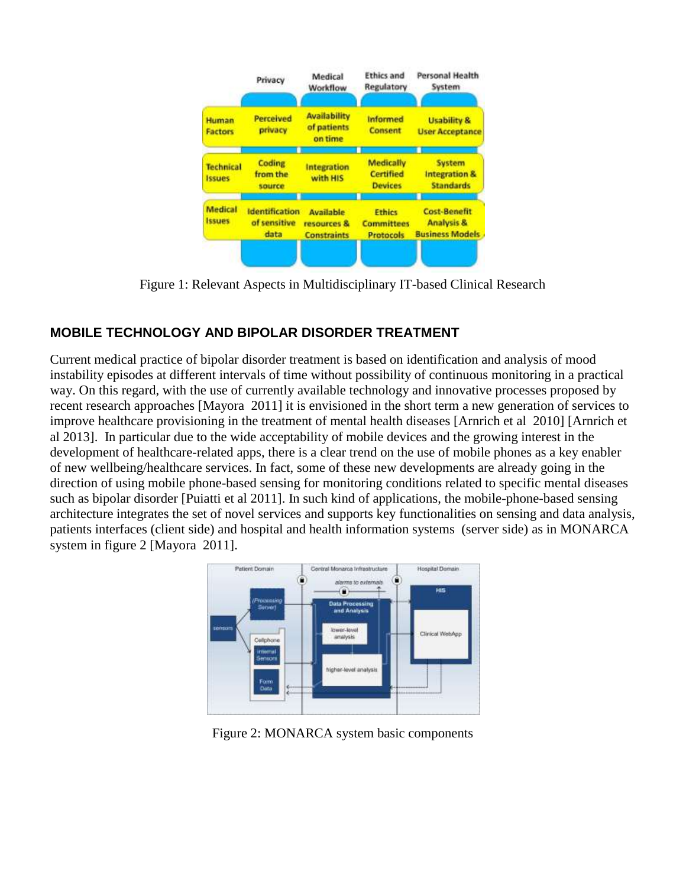

Figure 1: Relevant Aspects in Multidisciplinary IT-based Clinical Research

# **MOBILE TECHNOLOGY AND BIPOLAR DISORDER TREATMENT**

Current medical practice of bipolar disorder treatment is based on identification and analysis of mood instability episodes at different intervals of time without possibility of continuous monitoring in a practical way. On this regard, with the use of currently available technology and innovative processes proposed by recent research approaches [Mayora 2011] it is envisioned in the short term a new generation of services to improve healthcare provisioning in the treatment of mental health diseases [Arnrich et al 2010] [Arnrich et al 2013]. In particular due to the wide acceptability of mobile devices and the growing interest in the development of healthcare-related apps, there is a clear trend on the use of mobile phones as a key enabler of new wellbeing/healthcare services. In fact, some of these new developments are already going in the direction of using mobile phone-based sensing for monitoring conditions related to specific mental diseases such as bipolar disorder [Puiatti et al 2011]. In such kind of applications, the mobile-phone-based sensing architecture integrates the set of novel services and supports key functionalities on sensing and data analysis, patients interfaces (client side) and hospital and health information systems (server side) as in MONARCA system in figure 2 [Mayora 2011].



Figure 2: MONARCA system basic components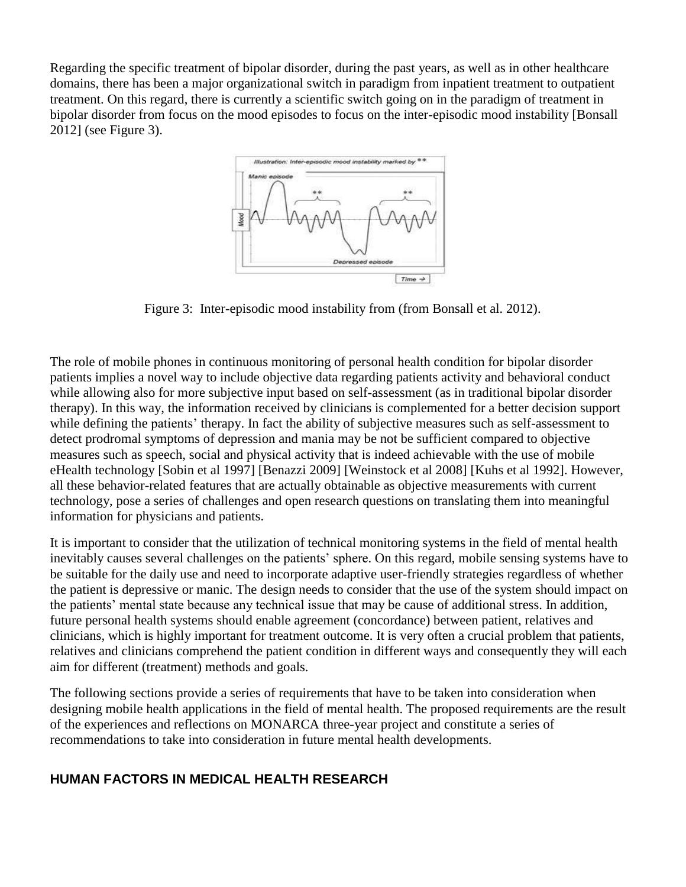Regarding the specific treatment of bipolar disorder, during the past years, as well as in other healthcare domains, there has been a major organizational switch in paradigm from inpatient treatment to outpatient treatment. On this regard, there is currently a scientific switch going on in the paradigm of treatment in bipolar disorder from focus on the mood episodes to focus on the inter-episodic mood instability [Bonsall 2012] (see Figure 3).



Figure 3: Inter-episodic mood instability from (from Bonsall et al. 2012).

The role of mobile phones in continuous monitoring of personal health condition for bipolar disorder patients implies a novel way to include objective data regarding patients activity and behavioral conduct while allowing also for more subjective input based on self-assessment (as in traditional bipolar disorder therapy). In this way, the information received by clinicians is complemented for a better decision support while defining the patients' therapy. In fact the ability of subjective measures such as self-assessment to detect prodromal symptoms of depression and mania may be not be sufficient compared to objective measures such as speech, social and physical activity that is indeed achievable with the use of mobile eHealth technology [Sobin et al 1997] [Benazzi 2009] [Weinstock et al 2008] [Kuhs et al 1992]. However, all these behavior-related features that are actually obtainable as objective measurements with current technology, pose a series of challenges and open research questions on translating them into meaningful information for physicians and patients.

It is important to consider that the utilization of technical monitoring systems in the field of mental health inevitably causes several challenges on the patients' sphere. On this regard, mobile sensing systems have to be suitable for the daily use and need to incorporate adaptive user-friendly strategies regardless of whether the patient is depressive or manic. The design needs to consider that the use of the system should impact on the patients' mental state because any technical issue that may be cause of additional stress. In addition, future personal health systems should enable agreement (concordance) between patient, relatives and clinicians, which is highly important for treatment outcome. It is very often a crucial problem that patients, relatives and clinicians comprehend the patient condition in different ways and consequently they will each aim for different (treatment) methods and goals.

The following sections provide a series of requirements that have to be taken into consideration when designing mobile health applications in the field of mental health. The proposed requirements are the result of the experiences and reflections on MONARCA three-year project and constitute a series of recommendations to take into consideration in future mental health developments.

## **HUMAN FACTORS IN MEDICAL HEALTH RESEARCH**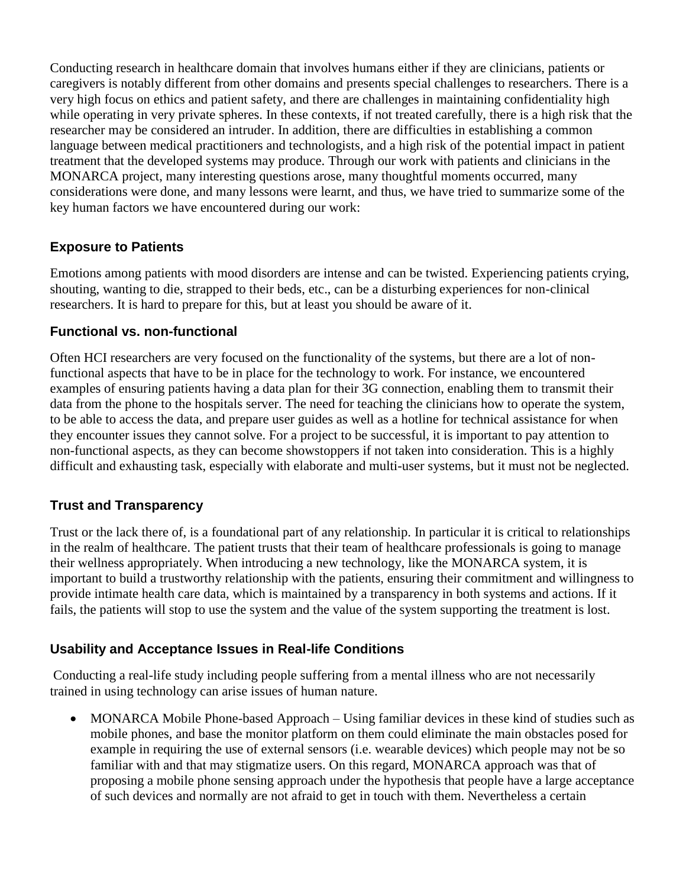Conducting research in healthcare domain that involves humans either if they are clinicians, patients or caregivers is notably different from other domains and presents special challenges to researchers. There is a very high focus on ethics and patient safety, and there are challenges in maintaining confidentiality high while operating in very private spheres. In these contexts, if not treated carefully, there is a high risk that the researcher may be considered an intruder. In addition, there are difficulties in establishing a common language between medical practitioners and technologists, and a high risk of the potential impact in patient treatment that the developed systems may produce. Through our work with patients and clinicians in the MONARCA project, many interesting questions arose, many thoughtful moments occurred, many considerations were done, and many lessons were learnt, and thus, we have tried to summarize some of the key human factors we have encountered during our work:

## **Exposure to Patients**

Emotions among patients with mood disorders are intense and can be twisted. Experiencing patients crying, shouting, wanting to die, strapped to their beds, etc., can be a disturbing experiences for non-clinical researchers. It is hard to prepare for this, but at least you should be aware of it.

## **Functional vs. non-functional**

Often HCI researchers are very focused on the functionality of the systems, but there are a lot of nonfunctional aspects that have to be in place for the technology to work. For instance, we encountered examples of ensuring patients having a data plan for their 3G connection, enabling them to transmit their data from the phone to the hospitals server. The need for teaching the clinicians how to operate the system, to be able to access the data, and prepare user guides as well as a hotline for technical assistance for when they encounter issues they cannot solve. For a project to be successful, it is important to pay attention to non-functional aspects, as they can become showstoppers if not taken into consideration. This is a highly difficult and exhausting task, especially with elaborate and multi-user systems, but it must not be neglected.

## **Trust and Transparency**

Trust or the lack there of, is a foundational part of any relationship. In particular it is critical to relationships in the realm of healthcare. The patient trusts that their team of healthcare professionals is going to manage their wellness appropriately. When introducing a new technology, like the MONARCA system, it is important to build a trustworthy relationship with the patients, ensuring their commitment and willingness to provide intimate health care data, which is maintained by a transparency in both systems and actions. If it fails, the patients will stop to use the system and the value of the system supporting the treatment is lost.

## **Usability and Acceptance Issues in Real-life Conditions**

Conducting a real-life study including people suffering from a mental illness who are not necessarily trained in using technology can arise issues of human nature.

• MONARCA Mobile Phone-based Approach – Using familiar devices in these kind of studies such as mobile phones, and base the monitor platform on them could eliminate the main obstacles posed for example in requiring the use of external sensors (i.e. wearable devices) which people may not be so familiar with and that may stigmatize users. On this regard, MONARCA approach was that of proposing a mobile phone sensing approach under the hypothesis that people have a large acceptance of such devices and normally are not afraid to get in touch with them. Nevertheless a certain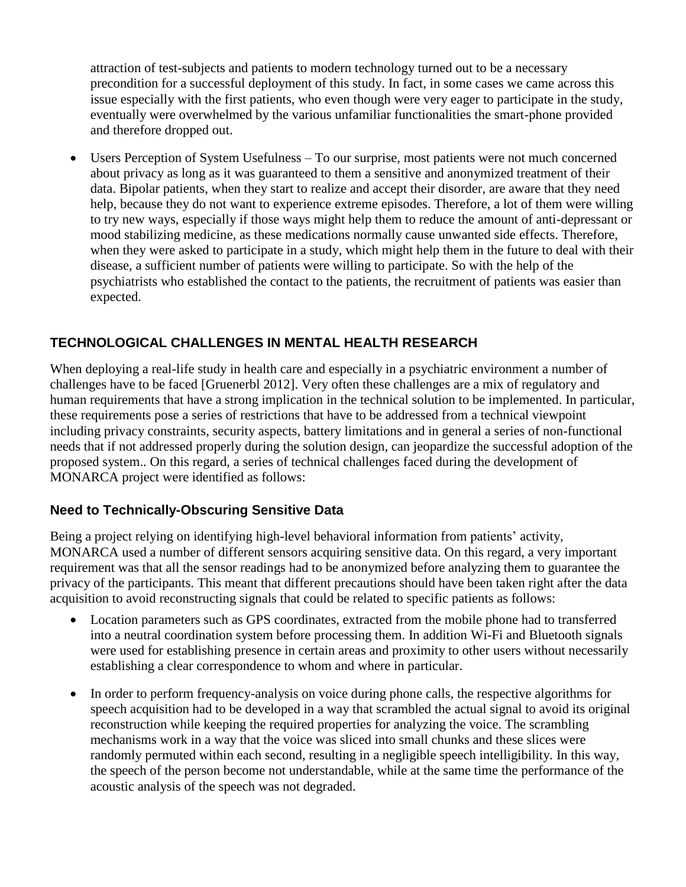attraction of test-subjects and patients to modern technology turned out to be a necessary precondition for a successful deployment of this study. In fact, in some cases we came across this issue especially with the first patients, who even though were very eager to participate in the study, eventually were overwhelmed by the various unfamiliar functionalities the smart-phone provided and therefore dropped out.

 Users Perception of System Usefulness – To our surprise, most patients were not much concerned about privacy as long as it was guaranteed to them a sensitive and anonymized treatment of their data. Bipolar patients, when they start to realize and accept their disorder, are aware that they need help, because they do not want to experience extreme episodes. Therefore, a lot of them were willing to try new ways, especially if those ways might help them to reduce the amount of anti-depressant or mood stabilizing medicine, as these medications normally cause unwanted side effects. Therefore, when they were asked to participate in a study, which might help them in the future to deal with their disease, a sufficient number of patients were willing to participate. So with the help of the psychiatrists who established the contact to the patients, the recruitment of patients was easier than expected.

## **TECHNOLOGICAL CHALLENGES IN MENTAL HEALTH RESEARCH**

When deploying a real-life study in health care and especially in a psychiatric environment a number of challenges have to be faced [Gruenerbl 2012]. Very often these challenges are a mix of regulatory and human requirements that have a strong implication in the technical solution to be implemented. In particular, these requirements pose a series of restrictions that have to be addressed from a technical viewpoint including privacy constraints, security aspects, battery limitations and in general a series of non-functional needs that if not addressed properly during the solution design, can jeopardize the successful adoption of the proposed system.. On this regard, a series of technical challenges faced during the development of MONARCA project were identified as follows:

#### **Need to Technically-Obscuring Sensitive Data**

Being a project relying on identifying high-level behavioral information from patients' activity, MONARCA used a number of different sensors acquiring sensitive data. On this regard, a very important requirement was that all the sensor readings had to be anonymized before analyzing them to guarantee the privacy of the participants. This meant that different precautions should have been taken right after the data acquisition to avoid reconstructing signals that could be related to specific patients as follows:

- Location parameters such as GPS coordinates, extracted from the mobile phone had to transferred into a neutral coordination system before processing them. In addition Wi-Fi and Bluetooth signals were used for establishing presence in certain areas and proximity to other users without necessarily establishing a clear correspondence to whom and where in particular.
- In order to perform frequency-analysis on voice during phone calls, the respective algorithms for speech acquisition had to be developed in a way that scrambled the actual signal to avoid its original reconstruction while keeping the required properties for analyzing the voice. The scrambling mechanisms work in a way that the voice was sliced into small chunks and these slices were randomly permuted within each second, resulting in a negligible speech intelligibility. In this way, the speech of the person become not understandable, while at the same time the performance of the acoustic analysis of the speech was not degraded.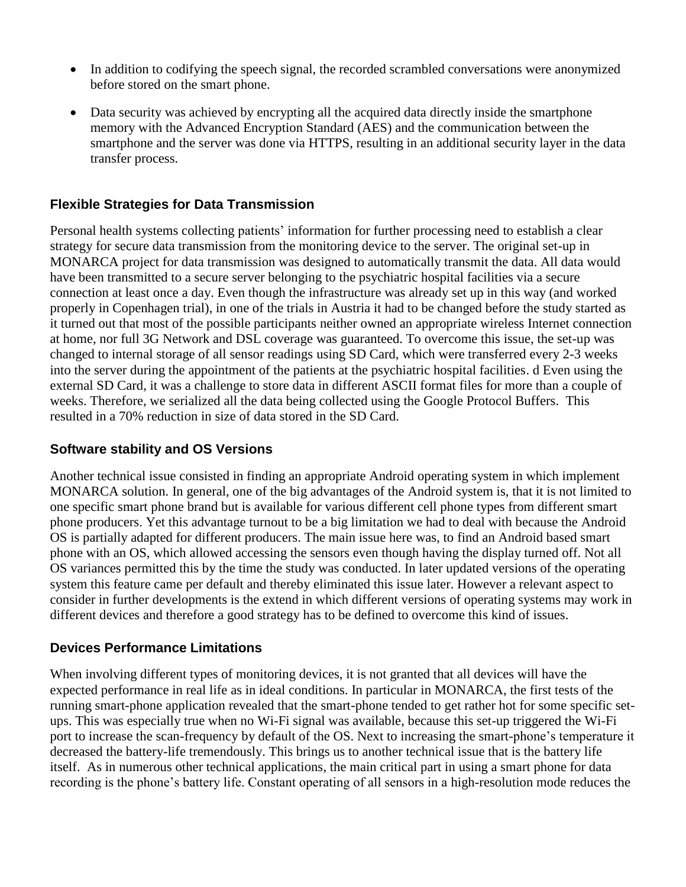- In addition to codifying the speech signal, the recorded scrambled conversations were anonymized before stored on the smart phone.
- Data security was achieved by encrypting all the acquired data directly inside the smartphone memory with the Advanced Encryption Standard (AES) and the communication between the smartphone and the server was done via HTTPS, resulting in an additional security layer in the data transfer process.

#### **Flexible Strategies for Data Transmission**

Personal health systems collecting patients' information for further processing need to establish a clear strategy for secure data transmission from the monitoring device to the server. The original set-up in MONARCA project for data transmission was designed to automatically transmit the data. All data would have been transmitted to a secure server belonging to the psychiatric hospital facilities via a secure connection at least once a day. Even though the infrastructure was already set up in this way (and worked properly in Copenhagen trial), in one of the trials in Austria it had to be changed before the study started as it turned out that most of the possible participants neither owned an appropriate wireless Internet connection at home, nor full 3G Network and DSL coverage was guaranteed. To overcome this issue, the set-up was changed to internal storage of all sensor readings using SD Card, which were transferred every 2-3 weeks into the server during the appointment of the patients at the psychiatric hospital facilities. d Even using the external SD Card, it was a challenge to store data in different ASCII format files for more than a couple of weeks. Therefore, we serialized all the data being collected using the Google Protocol Buffers. This resulted in a 70% reduction in size of data stored in the SD Card.

#### **Software stability and OS Versions**

Another technical issue consisted in finding an appropriate Android operating system in which implement MONARCA solution. In general, one of the big advantages of the Android system is, that it is not limited to one specific smart phone brand but is available for various different cell phone types from different smart phone producers. Yet this advantage turnout to be a big limitation we had to deal with because the Android OS is partially adapted for different producers. The main issue here was, to find an Android based smart phone with an OS, which allowed accessing the sensors even though having the display turned off. Not all OS variances permitted this by the time the study was conducted. In later updated versions of the operating system this feature came per default and thereby eliminated this issue later. However a relevant aspect to consider in further developments is the extend in which different versions of operating systems may work in different devices and therefore a good strategy has to be defined to overcome this kind of issues.

#### **Devices Performance Limitations**

When involving different types of monitoring devices, it is not granted that all devices will have the expected performance in real life as in ideal conditions. In particular in MONARCA, the first tests of the running smart-phone application revealed that the smart-phone tended to get rather hot for some specific setups. This was especially true when no Wi-Fi signal was available, because this set-up triggered the Wi-Fi port to increase the scan-frequency by default of the OS. Next to increasing the smart-phone's temperature it decreased the battery-life tremendously. This brings us to another technical issue that is the battery life itself. As in numerous other technical applications, the main critical part in using a smart phone for data recording is the phone's battery life. Constant operating of all sensors in a high-resolution mode reduces the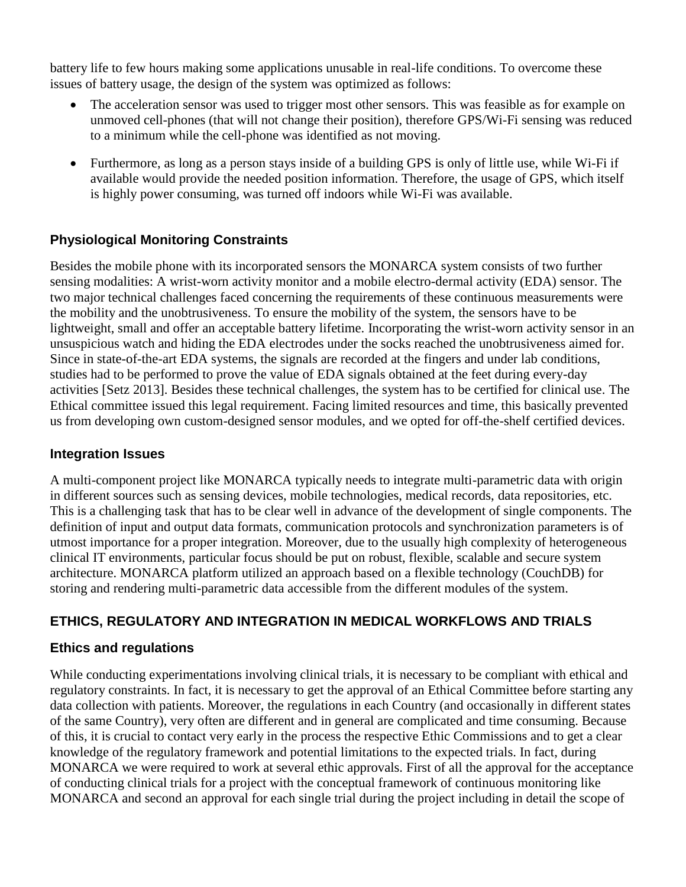battery life to few hours making some applications unusable in real-life conditions. To overcome these issues of battery usage, the design of the system was optimized as follows:

- The acceleration sensor was used to trigger most other sensors. This was feasible as for example on unmoved cell-phones (that will not change their position), therefore GPS/Wi-Fi sensing was reduced to a minimum while the cell-phone was identified as not moving.
- Furthermore, as long as a person stays inside of a building GPS is only of little use, while Wi-Fi if available would provide the needed position information. Therefore, the usage of GPS, which itself is highly power consuming, was turned off indoors while Wi-Fi was available.

# **Physiological Monitoring Constraints**

Besides the mobile phone with its incorporated sensors the MONARCA system consists of two further sensing modalities: A wrist-worn activity monitor and a mobile electro-dermal activity (EDA) sensor. The two major technical challenges faced concerning the requirements of these continuous measurements were the mobility and the unobtrusiveness. To ensure the mobility of the system, the sensors have to be lightweight, small and offer an acceptable battery lifetime. Incorporating the wrist-worn activity sensor in an unsuspicious watch and hiding the EDA electrodes under the socks reached the unobtrusiveness aimed for. Since in state-of-the-art EDA systems, the signals are recorded at the fingers and under lab conditions, studies had to be performed to prove the value of EDA signals obtained at the feet during every-day activities [Setz 2013]. Besides these technical challenges, the system has to be certified for clinical use. The Ethical committee issued this legal requirement. Facing limited resources and time, this basically prevented us from developing own custom-designed sensor modules, and we opted for off-the-shelf certified devices.

#### **Integration Issues**

A multi-component project like MONARCA typically needs to integrate multi-parametric data with origin in different sources such as sensing devices, mobile technologies, medical records, data repositories, etc. This is a challenging task that has to be clear well in advance of the development of single components. The definition of input and output data formats, communication protocols and synchronization parameters is of utmost importance for a proper integration. Moreover, due to the usually high complexity of heterogeneous clinical IT environments, particular focus should be put on robust, flexible, scalable and secure system architecture. MONARCA platform utilized an approach based on a flexible technology (CouchDB) for storing and rendering multi-parametric data accessible from the different modules of the system.

# **ETHICS, REGULATORY AND INTEGRATION IN MEDICAL WORKFLOWS AND TRIALS**

## **Ethics and regulations**

While conducting experimentations involving clinical trials, it is necessary to be compliant with ethical and regulatory constraints. In fact, it is necessary to get the approval of an Ethical Committee before starting any data collection with patients. Moreover, the regulations in each Country (and occasionally in different states of the same Country), very often are different and in general are complicated and time consuming. Because of this, it is crucial to contact very early in the process the respective Ethic Commissions and to get a clear knowledge of the regulatory framework and potential limitations to the expected trials. In fact, during MONARCA we were required to work at several ethic approvals. First of all the approval for the acceptance of conducting clinical trials for a project with the conceptual framework of continuous monitoring like MONARCA and second an approval for each single trial during the project including in detail the scope of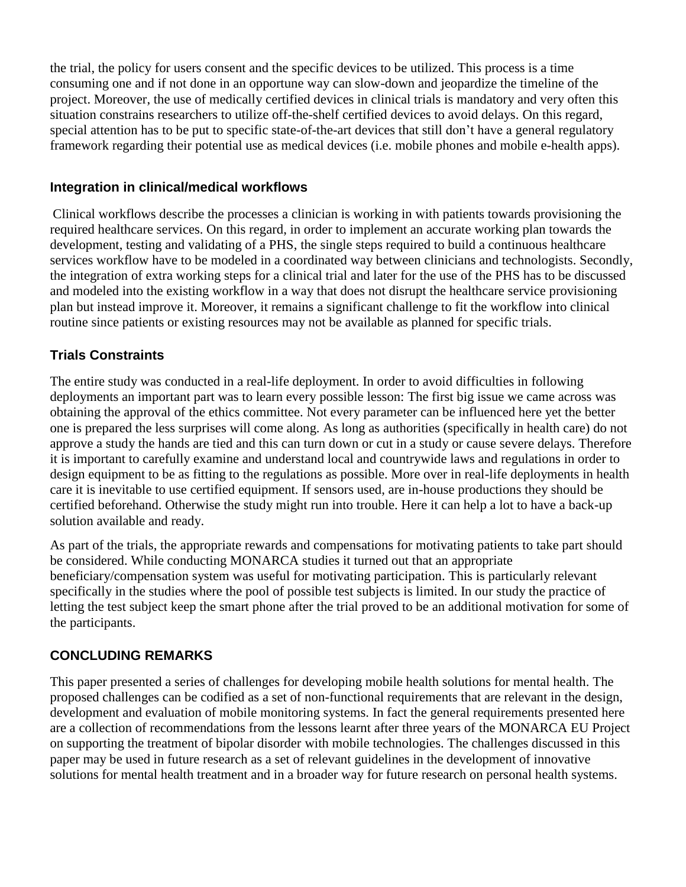the trial, the policy for users consent and the specific devices to be utilized. This process is a time consuming one and if not done in an opportune way can slow-down and jeopardize the timeline of the project. Moreover, the use of medically certified devices in clinical trials is mandatory and very often this situation constrains researchers to utilize off-the-shelf certified devices to avoid delays. On this regard, special attention has to be put to specific state-of-the-art devices that still don't have a general regulatory framework regarding their potential use as medical devices (i.e. mobile phones and mobile e-health apps).

#### **Integration in clinical/medical workflows**

Clinical workflows describe the processes a clinician is working in with patients towards provisioning the required healthcare services. On this regard, in order to implement an accurate working plan towards the development, testing and validating of a PHS, the single steps required to build a continuous healthcare services workflow have to be modeled in a coordinated way between clinicians and technologists. Secondly, the integration of extra working steps for a clinical trial and later for the use of the PHS has to be discussed and modeled into the existing workflow in a way that does not disrupt the healthcare service provisioning plan but instead improve it. Moreover, it remains a significant challenge to fit the workflow into clinical routine since patients or existing resources may not be available as planned for specific trials.

# **Trials Constraints**

The entire study was conducted in a real-life deployment. In order to avoid difficulties in following deployments an important part was to learn every possible lesson: The first big issue we came across was obtaining the approval of the ethics committee. Not every parameter can be influenced here yet the better one is prepared the less surprises will come along. As long as authorities (specifically in health care) do not approve a study the hands are tied and this can turn down or cut in a study or cause severe delays. Therefore it is important to carefully examine and understand local and countrywide laws and regulations in order to design equipment to be as fitting to the regulations as possible. More over in real-life deployments in health care it is inevitable to use certified equipment. If sensors used, are in-house productions they should be certified beforehand. Otherwise the study might run into trouble. Here it can help a lot to have a back-up solution available and ready.

As part of the trials, the appropriate rewards and compensations for motivating patients to take part should be considered. While conducting MONARCA studies it turned out that an appropriate beneficiary/compensation system was useful for motivating participation. This is particularly relevant specifically in the studies where the pool of possible test subjects is limited. In our study the practice of letting the test subject keep the smart phone after the trial proved to be an additional motivation for some of the participants.

## **CONCLUDING REMARKS**

This paper presented a series of challenges for developing mobile health solutions for mental health. The proposed challenges can be codified as a set of non-functional requirements that are relevant in the design, development and evaluation of mobile monitoring systems. In fact the general requirements presented here are a collection of recommendations from the lessons learnt after three years of the MONARCA EU Project on supporting the treatment of bipolar disorder with mobile technologies. The challenges discussed in this paper may be used in future research as a set of relevant guidelines in the development of innovative solutions for mental health treatment and in a broader way for future research on personal health systems.